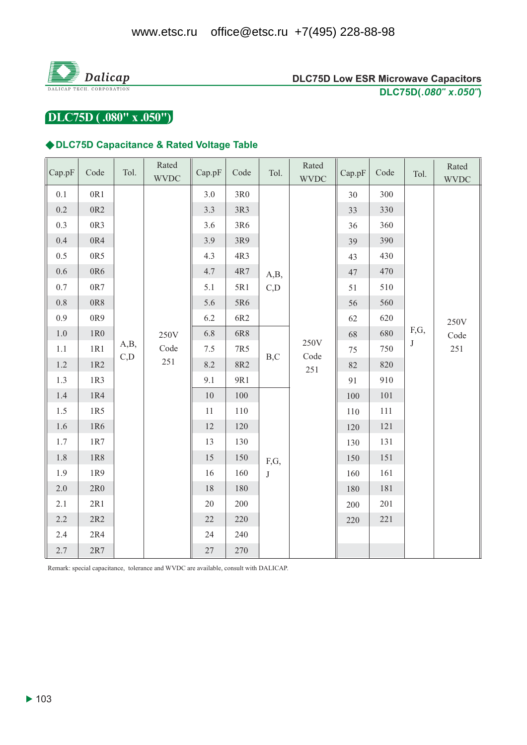

DLC75D (.080" x .050")

#### ◆DLC75D Capacitance & Rated Voltage Table

| Cap.pF  | Code            | Tol.        | Rated<br><b>WVDC</b>    | Cap.pF | Code         | Tol. | Rated<br><b>WVDC</b>                              | Cap.pF | Code    | Tol.               | Rated<br><b>WVDC</b> |
|---------|-----------------|-------------|-------------------------|--------|--------------|------|---------------------------------------------------|--------|---------|--------------------|----------------------|
| $0.1\,$ | 0R1             |             |                         | 3.0    | $3R0$        |      |                                                   | 30     | 300     |                    |                      |
| 0.2     | 0R <sub>2</sub> |             |                         | 3.3    | 3R3          |      | A,B,<br>C,D<br>250V<br>B,C<br>Code<br>251<br>F,G, | 33     | 330     | F,G,<br>$_{\rm J}$ | 250V<br>Code<br>251  |
| 0.3     | 0R3             |             |                         | 3.6    | 3R6          |      |                                                   | 36     | 360     |                    |                      |
| 0.4     | 0R4             |             |                         | 3.9    | 3R9          |      |                                                   | 39     | 390     |                    |                      |
| 0.5     | 0R5             |             |                         | 4.3    | 4R3          |      |                                                   | 43     | 430     |                    |                      |
| 0.6     | 0R6             |             |                         | 4.7    | 4R7          |      |                                                   | 47     | 470     |                    |                      |
| $0.7\,$ | $0\mathrm{R}7$  |             |                         | 5.1    | 5R1          |      |                                                   | 51     | 510     |                    |                      |
| $0.8\,$ | 0R8             |             |                         | 5.6    | 5R6          |      |                                                   | 56     | 560     |                    |                      |
| 0.9     | 0R9             |             | 250V<br>Code<br>$251\,$ | 6.2    | 6R2          |      |                                                   | 62     | 620     |                    |                      |
| 1.0     | 1R <sub>0</sub> |             |                         | 6.8    | 6R8          |      |                                                   | 68     | 680     |                    |                      |
| $1.1\,$ | 1R1             | A,B,<br>C,D |                         | 7.5    | 7R5          |      |                                                   | 75     | 750     |                    |                      |
| 1.2     | 1R2             |             |                         | 8.2    | 8R2          |      |                                                   | 82     | 820     |                    |                      |
| 1.3     | 1R3             |             |                         | 9.1    | 9R1          |      |                                                   | 91     | 910     |                    |                      |
| 1.4     | 1R4             |             |                         | 10     | 100          |      |                                                   | 100    | $101\,$ |                    |                      |
| 1.5     | 1R5             |             |                         | 11     | 110          |      |                                                   | 110    | 111     |                    |                      |
| 1.6     | 1R6             |             |                         | 12     | 120          |      |                                                   | 120    | 121     |                    |                      |
| 1.7     | $1R7$           |             |                         | 13     | 130          |      |                                                   | 130    | 131     |                    |                      |
| 1.8     | 1R8             |             |                         | 15     | 150          |      |                                                   | 150    | 151     |                    |                      |
| 1.9     | 1R9             |             | 16                      | 160    | $\mathbf{J}$ |      | 160                                               | 161    |         |                    |                      |
| 2.0     | 2R0             |             |                         | 18     | 180          |      |                                                   | 180    | 181     |                    |                      |
| 2.1     | 2R1             |             |                         | $20\,$ | 200          |      |                                                   | 200    | 201     |                    |                      |
| 2.2     | $2R2$           |             |                         | $22\,$ | 220          |      |                                                   | 220    | $221\,$ |                    |                      |
| 2.4     | 2R4             |             |                         | 24     | 240          |      |                                                   |        |         |                    |                      |
| 2.7     | $2R7$           |             |                         | $27\,$ | 270          |      |                                                   |        |         |                    |                      |

Remark: special capacitance, tolerance and WVDC are available, consult with DALICAP.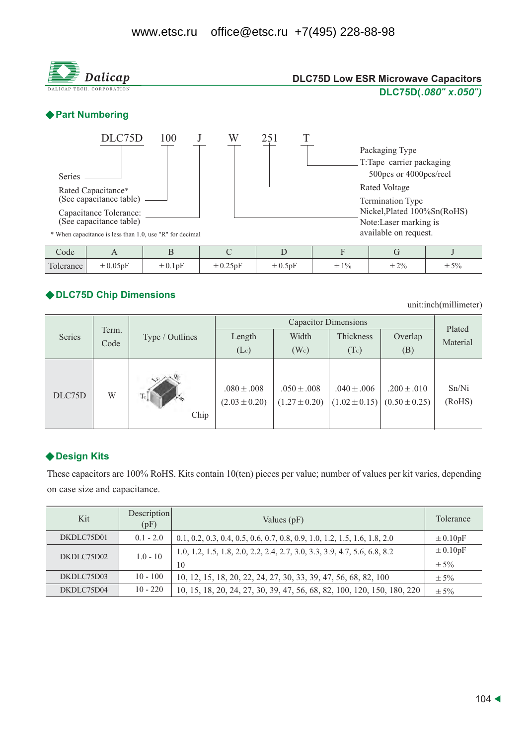

#### ◆ DLC75D Chip Dimensions

unit:inch(millimeter)

|        |               |                 |                                      | Plated                               |                                      |                                      |                 |  |
|--------|---------------|-----------------|--------------------------------------|--------------------------------------|--------------------------------------|--------------------------------------|-----------------|--|
| Series | Term.<br>Code | Type / Outlines | Length                               | Width                                | Thickness                            | Overlap                              | Material        |  |
|        |               |                 | (Lc)                                 | $(W_c)$                              | (Tc)                                 | (B)                                  |                 |  |
| DLC75D | W             | Chip            | $.080 \pm .008$<br>$(2.03 \pm 0.20)$ | $.050 \pm .008$<br>$(1.27 \pm 0.20)$ | $.040 \pm .006$<br>$(1.02 \pm 0.15)$ | $.200 \pm .010$<br>$(0.50 \pm 0.25)$ | Sn/Ni<br>(RoHS) |  |

# ◆ Design Kits

These capacitors are 100% RoHS. Kits contain 10(ten) pieces per value; number of values per kit varies, depending on case size and capacitance.

| Kit        | Description<br>(pF) | Values (pF)                                                                 | Tolerance    |
|------------|---------------------|-----------------------------------------------------------------------------|--------------|
| DKDLC75D01 | $0.1 - 2.0$         | $0.1, 0.2, 0.3, 0.4, 0.5, 0.6, 0.7, 0.8, 0.9, 1.0, 1.2, 1.5, 1.6, 1.8, 2.0$ | $\pm 0.10pF$ |
| DKDLC75D02 | $1.0 - 10$          | 1.0, 1.2, 1.5, 1.8, 2.0, 2.2, 2.4, 2.7, 3.0, 3.3, 3.9, 4.7, 5.6, 6.8, 8.2   | $\pm 0.10pF$ |
|            |                     | 10                                                                          | $\pm$ 5%     |
| DKDLC75D03 | $10 - 100$          | 10, 12, 15, 18, 20, 22, 24, 27, 30, 33, 39, 47, 56, 68, 82, 100             | $\pm$ 5%     |
| DKDLC75D04 | $10 - 220$          | 10, 15, 18, 20, 24, 27, 30, 39, 47, 56, 68, 82, 100, 120, 150, 180, 220     | $\pm$ 5%     |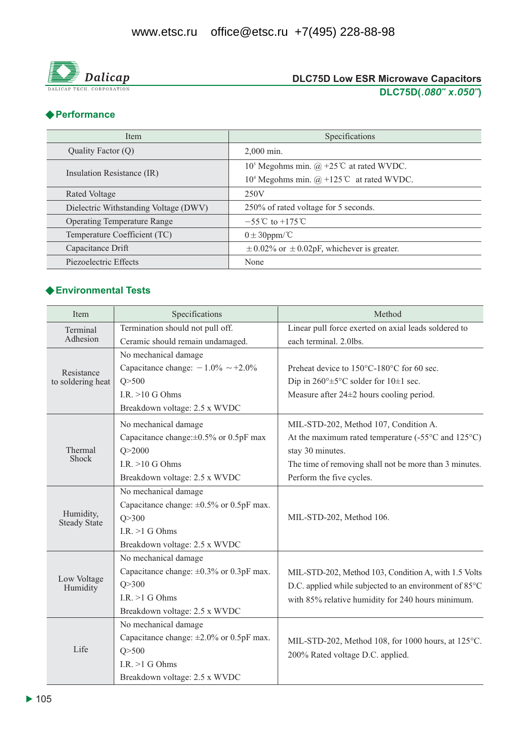

## ◆ Performance

| <b>Item</b>                           | Specifications                                                                     |  |  |
|---------------------------------------|------------------------------------------------------------------------------------|--|--|
| Quality Factor $(Q)$                  | $2.000$ min.                                                                       |  |  |
|                                       | 10 <sup>5</sup> Megohms min. @ +25 <sup>°</sup> C at rated WVDC.                   |  |  |
| Insulation Resistance (IR)            | 10 <sup>4</sup> Megohms min. $(\hat{\omega}) + 125^{\circ}\text{C}$ at rated WVDC. |  |  |
| Rated Voltage                         | 250V                                                                               |  |  |
| Dielectric Withstanding Voltage (DWV) | 250% of rated voltage for 5 seconds.                                               |  |  |
| <b>Operating Temperature Range</b>    | $-55^{\circ}$ C to +175 °C                                                         |  |  |
| Temperature Coefficient (TC)          | $0 \pm 30$ ppm/°C                                                                  |  |  |
| Capacitance Drift                     | $\pm$ 0.02% or $\pm$ 0.02pF, whichever is greater.                                 |  |  |
| Piezoelectric Effects                 | None                                                                               |  |  |

## ◆ Environmental Tests

| Item                             | Specifications                                | Method                                                                                                      |  |  |  |
|----------------------------------|-----------------------------------------------|-------------------------------------------------------------------------------------------------------------|--|--|--|
| Terminal                         | Termination should not pull off.              | Linear pull force exerted on axial leads soldered to                                                        |  |  |  |
| Adhesion                         | Ceramic should remain undamaged.              | each terminal. 2.0lbs.                                                                                      |  |  |  |
|                                  | No mechanical damage                          |                                                                                                             |  |  |  |
| Resistance                       | Capacitance change: $-1.0\% \sim +2.0\%$      | Preheat device to 150°C-180°C for 60 sec.                                                                   |  |  |  |
| to soldering heat                | Q > 500                                       | Dip in $260^{\circ} \pm 5^{\circ}$ C solder for $10 \pm 1$ sec.                                             |  |  |  |
|                                  | I.R. $>10$ G Ohms                             | Measure after $24\pm 2$ hours cooling period.                                                               |  |  |  |
|                                  | Breakdown voltage: 2.5 x WVDC                 |                                                                                                             |  |  |  |
|                                  | No mechanical damage                          | MIL-STD-202, Method 107, Condition A.                                                                       |  |  |  |
|                                  | Capacitance change: $\pm 0.5\%$ or 0.5pF max  | At the maximum rated temperature $(-55^{\circ}$ C and $125^{\circ}$ C)                                      |  |  |  |
| Thermal<br>Shock                 | Q > 2000                                      | stay 30 minutes.                                                                                            |  |  |  |
|                                  | I.R. $>10$ G Ohms                             | The time of removing shall not be more than 3 minutes.                                                      |  |  |  |
|                                  | Breakdown voltage: 2.5 x WVDC                 | Perform the five cycles.                                                                                    |  |  |  |
|                                  | No mechanical damage                          |                                                                                                             |  |  |  |
|                                  | Capacitance change: $\pm 0.5\%$ or 0.5pF max. | MIL-STD-202, Method 106.                                                                                    |  |  |  |
| Humidity,<br><b>Steady State</b> | Q > 300                                       |                                                                                                             |  |  |  |
|                                  | I.R. $>1$ G Ohms                              |                                                                                                             |  |  |  |
|                                  | Breakdown voltage: 2.5 x WVDC                 |                                                                                                             |  |  |  |
|                                  | No mechanical damage                          |                                                                                                             |  |  |  |
|                                  | Capacitance change: $\pm 0.3\%$ or 0.3pF max. | MIL-STD-202, Method 103, Condition A, with 1.5 Volts                                                        |  |  |  |
| Low Voltage<br>Humidity          | Q > 300                                       | D.C. applied while subjected to an environment of 85°C<br>with 85% relative humidity for 240 hours minimum. |  |  |  |
|                                  | I.R. $>1$ G Ohms                              |                                                                                                             |  |  |  |
|                                  | Breakdown voltage: 2.5 x WVDC                 |                                                                                                             |  |  |  |
|                                  | No mechanical damage                          |                                                                                                             |  |  |  |
|                                  | Capacitance change: $\pm 2.0\%$ or 0.5pF max. | MIL-STD-202, Method 108, for 1000 hours, at 125°C.                                                          |  |  |  |
| Life                             | Q > 500                                       | 200% Rated voltage D.C. applied.                                                                            |  |  |  |
|                                  | I.R. $>1$ G Ohms                              |                                                                                                             |  |  |  |
|                                  | Breakdown voltage: 2.5 x WVDC                 |                                                                                                             |  |  |  |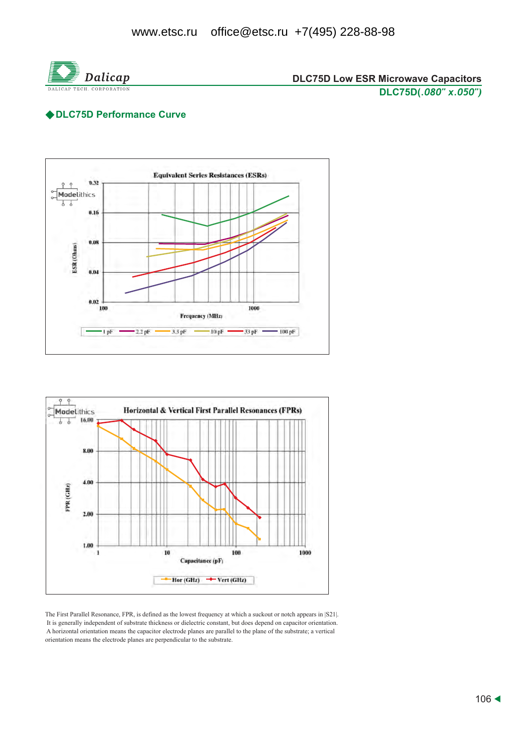

#### ◆DLC75D Performance Curve





The First Parallel Resonance, FPR, is defined as the lowest frequency at which a suckout or notch appears in [S21]. It is generally independent of substrate thickness or dielectric constant, but does depend on capacitor orientation. A horizontal orientation means the capacitor electrode planes are parallel to the plane of the substrate; a vertical orientation means the electrode planes are perpendicular to the substrate.